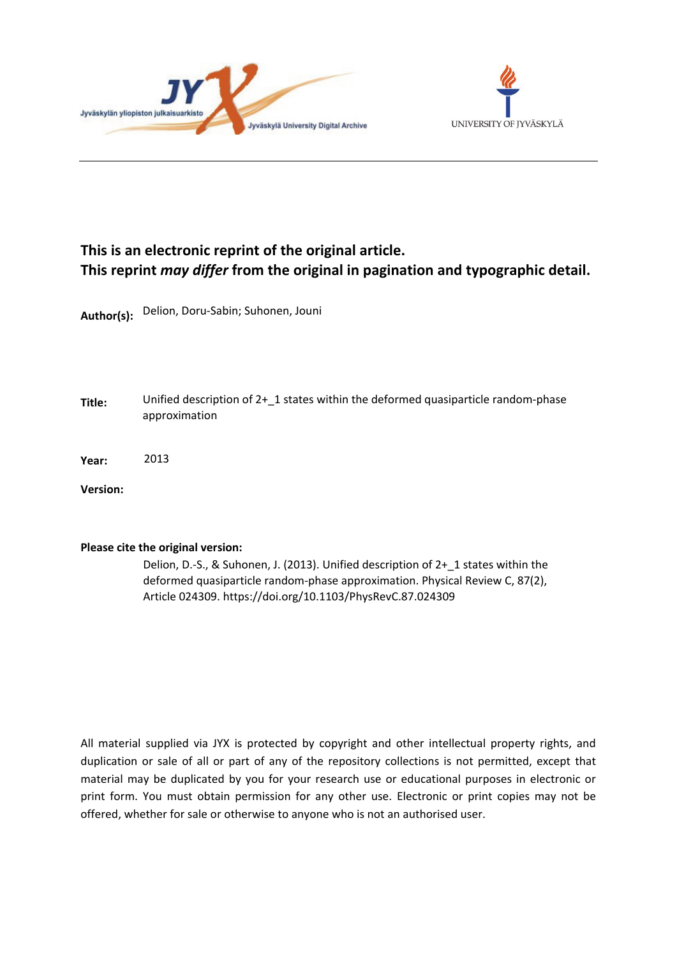



# **This is an electronic reprint of the original article. This reprint** *may differ* **from the original in pagination and typographic detail.**

**Author(s):**  Delion, Doru-Sabin; Suhonen, Jouni

**Title:** Unified description of 2+\_1 states within the deformed quasiparticle random-phase approximation

**Year:**  2013

**Version:**

### **Please cite the original version:**

Delion, D.-S., & Suhonen, J. (2013). Unified description of 2+\_1 states within the deformed quasiparticle random-phase approximation. Physical Review C, 87(2), Article 024309. https://doi.org/10.1103/PhysRevC.87.024309

All material supplied via JYX is protected by copyright and other intellectual property rights, and duplication or sale of all or part of any of the repository collections is not permitted, except that material may be duplicated by you for your research use or educational purposes in electronic or print form. You must obtain permission for any other use. Electronic or print copies may not be offered, whether for sale or otherwise to anyone who is not an authorised user.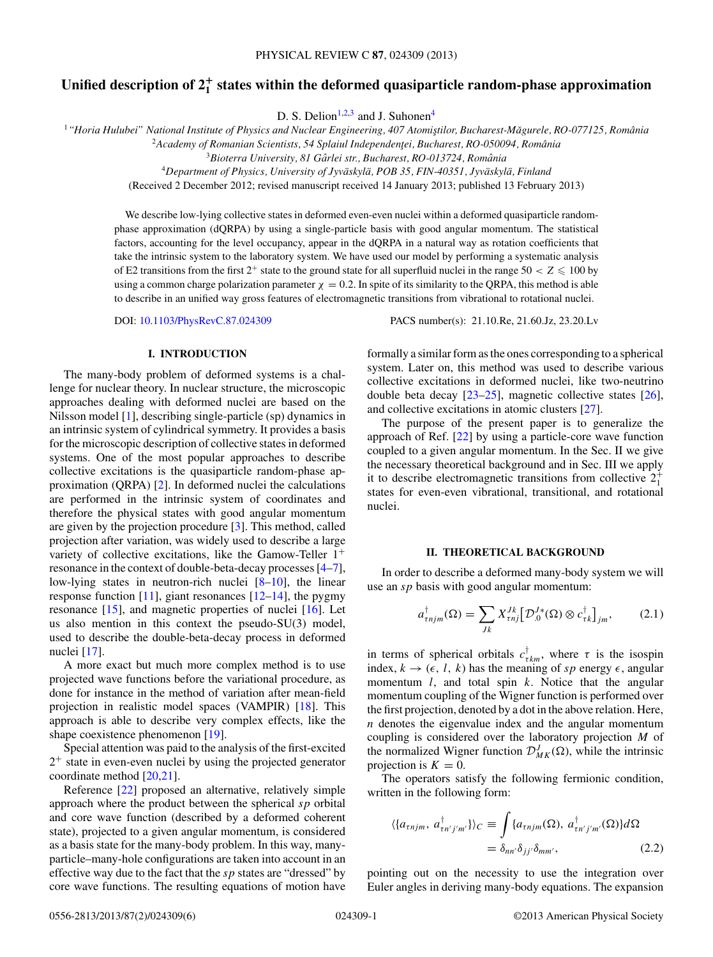## <span id="page-1-0"></span>**Unified description of 2<sup>+</sup> <sup>1</sup> states within the deformed quasiparticle random-phase approximation**

D. S. Delion<sup>1,2,3</sup> and J. Suhonen<sup>4</sup>

<sup>1</sup> "Horia Hulubei" National Institute of Physics and Nuclear Engineering, 407 Atomistilor, Bucharest-Măgurele, RO-077125, România

<sup>2</sup> Academy of Romanian Scientists, 54 Splaiul Independenței, Bucharest, RO-050094, România

<sup>3</sup>Bioterra University, 81 Gârlei str., Bucharest, RO-013724, România

<sup>4</sup>*Department of Physics, University of Jyvaskyl ¨ a, POB 35, FIN-40351, Jyv ¨ askyl ¨ a, Finland ¨*

(Received 2 December 2012; revised manuscript received 14 January 2013; published 13 February 2013)

We describe low-lying collective states in deformed even-even nuclei within a deformed quasiparticle randomphase approximation (dQRPA) by using a single-particle basis with good angular momentum. The statistical factors, accounting for the level occupancy, appear in the dQRPA in a natural way as rotation coefficients that take the intrinsic system to the laboratory system. We have used our model by performing a systematic analysis of E2 transitions from the first  $2^+$  state to the ground state for all superfluid nuclei in the range  $50 < Z \leq 100$  by using a common charge polarization parameter  $\chi = 0.2$ . In spite of its similarity to the QRPA, this method is able to describe in an unified way gross features of electromagnetic transitions from vibrational to rotational nuclei.

#### **I. INTRODUCTION**

The many-body problem of deformed systems is a challenge for nuclear theory. In nuclear structure, the microscopic approaches dealing with deformed nuclei are based on the Nilsson model [\[1\]](#page-6-0), describing single-particle (sp) dynamics in an intrinsic system of cylindrical symmetry. It provides a basis for the microscopic description of collective states in deformed systems. One of the most popular approaches to describe collective excitations is the quasiparticle random-phase approximation (QRPA) [\[2\]](#page-6-0). In deformed nuclei the calculations are performed in the intrinsic system of coordinates and therefore the physical states with good angular momentum are given by the projection procedure [\[3\]](#page-6-0). This method, called projection after variation, was widely used to describe a large variety of collective excitations, like the Gamow-Teller  $1^+$ resonance in the context of double-beta-decay processes [\[4–7\]](#page-6-0), low-lying states in neutron-rich nuclei [\[8–10\]](#page-6-0), the linear response function  $[11]$ , giant resonances  $[12-14]$ , the pygmy resonance [\[15\]](#page-6-0), and magnetic properties of nuclei [\[16\]](#page-6-0). Let us also mention in this context the pseudo-SU(3) model, used to describe the double-beta-decay process in deformed nuclei [\[17\]](#page-6-0).

A more exact but much more complex method is to use projected wave functions before the variational procedure, as done for instance in the method of variation after mean-field projection in realistic model spaces (VAMPIR) [\[18\]](#page-6-0). This approach is able to describe very complex effects, like the shape coexistence phenomenon [\[19\]](#page-6-0).

Special attention was paid to the analysis of the first-excited  $2<sup>+</sup>$  state in even-even nuclei by using the projected generator coordinate method [\[20,21\]](#page-6-0).

Reference [\[22\]](#page-6-0) proposed an alternative, relatively simple approach where the product between the spherical *sp* orbital and core wave function (described by a deformed coherent state), projected to a given angular momentum, is considered as a basis state for the many-body problem. In this way, manyparticle–many-hole configurations are taken into account in an effective way due to the fact that the *sp* states are "dressed" by core wave functions. The resulting equations of motion have

DOI: [10.1103/PhysRevC.87.024309](http://dx.doi.org/10.1103/PhysRevC.87.024309) PACS number(s): 21*.*10*.*Re, 21*.*60*.*Jz, 23*.*20*.*Lv

formally a similar form as the ones corresponding to a spherical system. Later on, this method was used to describe various collective excitations in deformed nuclei, like two-neutrino double beta decay  $[23-25]$ , magnetic collective states  $[26]$ , and collective excitations in atomic clusters [\[27\]](#page-6-0).

The purpose of the present paper is to generalize the approach of Ref. [\[22\]](#page-6-0) by using a particle-core wave function coupled to a given angular momentum. In the Sec. II we give the necessary theoretical background and in Sec. III we apply it to describe electromagnetic transitions from collective  $2^+_1$ states for even-even vibrational, transitional, and rotational nuclei.

#### **II. THEORETICAL BACKGROUND**

In order to describe a deformed many-body system we will use an *sp* basis with good angular momentum:

$$
a_{\tau njm}^{\dagger}(\Omega) = \sum_{Jk} X_{\tau nj}^{Jk} \left[ \mathcal{D}_0^{J*}(\Omega) \otimes c_{\tau k}^{\dagger} \right]_{jm},\tag{2.1}
$$

in terms of spherical orbitals  $c_{\tau km}^{\dagger}$ , where  $\tau$  is the isospin index,  $k \to (\epsilon, l, k)$  has the meaning of *sp* energy  $\epsilon$ , angular momentum *l*, and total spin *k*. Notice that the angular momentum coupling of the Wigner function is performed over the first projection, denoted by a dot in the above relation. Here, *n* denotes the eigenvalue index and the angular momentum coupling is considered over the laboratory projection *M* of the normalized Wigner function  $\mathcal{D}_{MK}^J(\Omega)$ , while the intrinsic projection is  $K = 0$ .

The operators satisfy the following fermionic condition, written in the following form:

$$
\langle \{a_{\tau njm}, a_{\tau n'j'm'}^{\dagger}\}\rangle_C \equiv \int \{a_{\tau njm}(\Omega), a_{\tau n'j'm'}^{\dagger}(\Omega)\} d\Omega
$$
  
=  $\delta_{nn'}\delta_{jj'}\delta_{mm'}$ , (2.2)

pointing out on the necessity to use the integration over Euler angles in deriving many-body equations. The expansion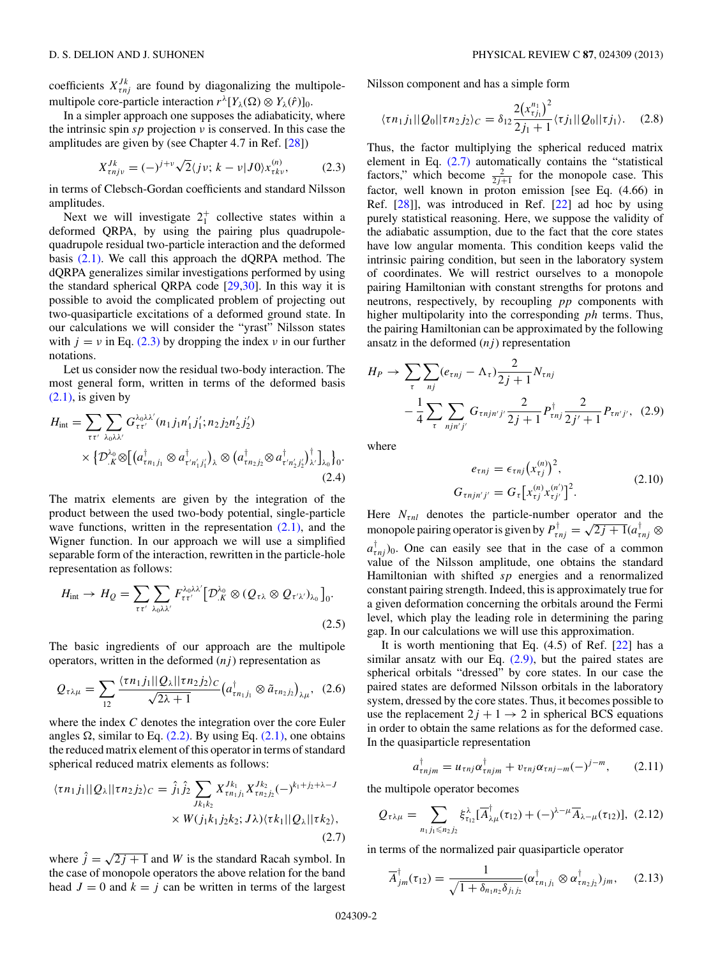<span id="page-2-0"></span>coefficients  $X_{\tau n i}^{J k}$  are found by diagonalizing the multipolemultipole core-particle interaction  $r^{\lambda}[Y_{\lambda}(\Omega) \otimes Y_{\lambda}(\hat{r})]_0$ .

In a simpler approach one supposes the adiabaticity, where the intrinsic spin *sp* projection *ν* is conserved. In this case the amplitudes are given by (see Chapter 4.7 in Ref. [\[28\]](#page-6-0))

$$
X_{\tau n j \nu}^{J k} = (-)^{j + \nu} \sqrt{2} \langle j \nu; k - \nu | J 0 \rangle x_{\tau k \nu}^{(n)}, \tag{2.3}
$$

in terms of Clebsch-Gordan coefficients and standard Nilsson amplitudes.

Next we will investigate  $2^+_1$  collective states within a deformed QRPA, by using the pairing plus quadrupolequadrupole residual two-particle interaction and the deformed basis [\(2.1\).](#page-1-0) We call this approach the dQRPA method. The dQRPA generalizes similar investigations performed by using the standard spherical QRPA code  $[29,30]$ . In this way it is possible to avoid the complicated problem of projecting out two-quasiparticle excitations of a deformed ground state. In our calculations we will consider the "yrast" Nilsson states with  $j = v$  in Eq. (2.3) by dropping the index  $v$  in our further notations.

Let us consider now the residual two-body interaction. The most general form, written in terms of the deformed basis  $(2.1)$ , is given by

$$
H_{\rm int} = \sum_{\tau \tau'} \sum_{\lambda_0 \lambda \lambda'} G_{\tau \tau'}^{\lambda_0 \lambda \lambda'} (n_1 j_1 n'_1 j'_1; n_2 j_2 n'_2 j'_2)
$$
  
 
$$
\times \{ \mathcal{D}_{\cdot K}^{\lambda_0} \otimes \left[ \left( a_{\tau n_1 j_1}^{\dagger} \otimes a_{\tau' n'_1 j'_1}^{\dagger} \right)_{\lambda} \otimes \left( a_{\tau n_2 j_2}^{\dagger} \otimes a_{\tau' n'_2 j'_2}^{\dagger} \right)_{\lambda}^{\dagger} \right]_{\lambda_0} \}_{0}.
$$
  
(2.4)

The matrix elements are given by the integration of the product between the used two-body potential, single-particle wave functions, written in the representation  $(2.1)$ , and the Wigner function. In our approach we will use a simplified separable form of the interaction, rewritten in the particle-hole representation as follows:

$$
H_{\rm int} \to H_Q = \sum_{\tau \tau'} \sum_{\lambda_0 \lambda \lambda'} F_{\tau \tau'}^{\lambda_0 \lambda \lambda'} \big[ \mathcal{D}_{.K}^{\lambda_0} \otimes (Q_{\tau \lambda} \otimes Q_{\tau' \lambda'})_{\lambda_0} \big]_0.
$$
\n(2.5)

The basic ingredients of our approach are the multipole operators, written in the deformed  $(nj)$  representation as

$$
Q_{\tau\lambda\mu} = \sum_{12} \frac{\langle \tau n_1 j_1 || Q_\lambda || \tau n_2 j_2 \rangle_C}{\sqrt{2\lambda + 1}} \left( a_{\tau n_1 j_1}^\dagger \otimes \tilde{a}_{\tau n_2 j_2} \right)_{\lambda \mu}, \tag{2.6}
$$

where the index *C* denotes the integration over the core Euler angles  $\Omega$ , similar to Eq. [\(2.2\).](#page-1-0) By using Eq. [\(2.1\),](#page-1-0) one obtains the reduced matrix element of this operator in terms of standard spherical reduced matrix elements as follows:

$$
\langle \tau n_1 j_1 || Q_\lambda || \tau n_2 j_2 \rangle_C = \hat{j}_1 \hat{j}_2 \sum_{Jk_1 k_2} X_{\tau n_1 j_1}^{Jk_1} X_{\tau n_2 j_2}^{Jk_2} (-)^{k_1 + j_2 + \lambda - J} \times W(j_1 k_1 j_2 k_2; J\lambda) \langle \tau k_1 || Q_\lambda || \tau k_2 \rangle,
$$
\n(2.7)

where  $\hat{j} = \sqrt{2j+1}$  and *W* is the standard Racah symbol. In the case of monopole operators the above relation for the band head  $J = 0$  and  $k = j$  can be written in terms of the largest Nilsson component and has a simple form

$$
\langle \tau n_1 j_1 || Q_0 || \tau n_2 j_2 \rangle_C = \delta_{12} \frac{2(x_{\tau j_1}^{n_1})^2}{2j_1 + 1} \langle \tau j_1 || Q_0 || \tau j_1 \rangle. \tag{2.8}
$$

Thus, the factor multiplying the spherical reduced matrix element in Eq. (2.7) automatically contains the "statistical factors," which become  $\frac{2}{2j+1}$  for the monopole case. This factor, well known in proton emission [see Eq. (4.66) in Ref. [\[28\]](#page-6-0)], was introduced in Ref. [\[22\]](#page-6-0) ad hoc by using purely statistical reasoning. Here, we suppose the validity of the adiabatic assumption, due to the fact that the core states have low angular momenta. This condition keeps valid the intrinsic pairing condition, but seen in the laboratory system of coordinates. We will restrict ourselves to a monopole pairing Hamiltonian with constant strengths for protons and neutrons, respectively, by recoupling *pp* components with higher multipolarity into the corresponding *ph* terms. Thus, the pairing Hamiltonian can be approximated by the following ansatz in the deformed  $(nj)$  representation

$$
H_P \to \sum_{\tau} \sum_{nj} (e_{\tau nj} - \Lambda_{\tau}) \frac{2}{2j+1} N_{\tau nj}
$$
  

$$
- \frac{1}{4} \sum_{\tau} \sum_{njn'j'} G_{\tau njn'j'} \frac{2}{2j+1} P_{\tau nj}^{\dagger} \frac{2}{2j'+1} P_{\tau n'j'}, \quad (2.9)
$$

where

$$
e_{\tau nj} = \epsilon_{\tau nj} (x_{\tau j}^{(n)})^2,
$$
  
\n
$$
G_{\tau nj n' j'} = G_{\tau} [x_{\tau j}^{(n)} x_{\tau j'}^{(n')}]^2.
$$
\n(2.10)

Here  $N_{\tau nl}$  denotes the particle-number operator and the monopole pairing operator is given by  $P_{\tau n j}^{\dagger} = \sqrt{2j+1}(a_{\tau n j}^{\dagger} \otimes$  $a^{\dagger}_{\tau n j}$ )<sub>0</sub>. One can easily see that in the case of a common value of the Nilsson amplitude, one obtains the standard Hamiltonian with shifted *sp* energies and a renormalized constant pairing strength. Indeed, this is approximately true for a given deformation concerning the orbitals around the Fermi level, which play the leading role in determining the paring gap. In our calculations we will use this approximation.

It is worth mentioning that Eq.  $(4.5)$  of Ref.  $[22]$  has a similar ansatz with our Eq.  $(2.9)$ , but the paired states are spherical orbitals "dressed" by core states. In our case the paired states are deformed Nilsson orbitals in the laboratory system, dressed by the core states. Thus, it becomes possible to use the replacement  $2j + 1 \rightarrow 2$  in spherical BCS equations in order to obtain the same relations as for the deformed case. In the quasiparticle representation

$$
a_{\tau njm}^{\dagger} = u_{\tau nj} \alpha_{\tau njm}^{\dagger} + v_{\tau nj} \alpha_{\tau nj-m} (-)^{j-m}, \qquad (2.11)
$$

the multipole operator becomes

$$
Q_{\tau\lambda\mu} = \sum_{n_1 j_1 \leq n_2 j_2} \xi^{\lambda}_{\tau_{12}} [\overline{A}^{\dagger}_{\lambda\mu}(\tau_{12}) + (-)^{\lambda-\mu} \overline{A}_{\lambda-\mu}(\tau_{12})], (2.12)
$$

in terms of the normalized pair quasiparticle operator

$$
\overline{A}_{jm}^{\dagger}(\tau_{12}) = \frac{1}{\sqrt{1 + \delta_{n_1 n_2} \delta_{j_1 j_2}}} (\alpha_{\tau n_1 j_1}^{\dagger} \otimes \alpha_{\tau n_2 j_2}^{\dagger})_{jm}, \quad (2.13)
$$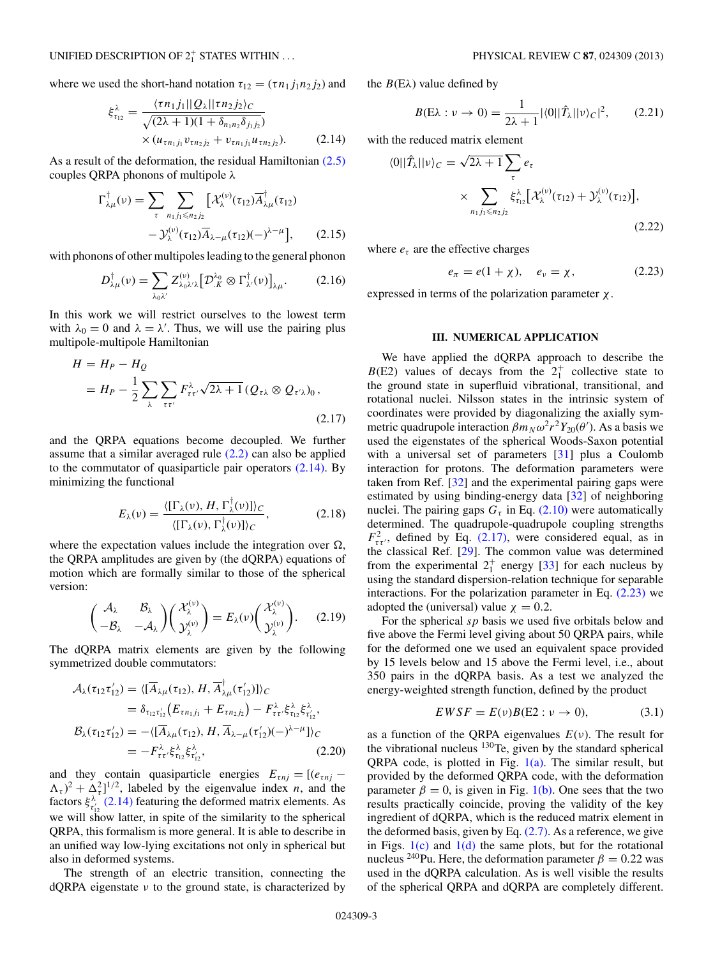#### <span id="page-3-0"></span>UNIFIED DESCRIPTION OF  $2^+_1$  STATES WITHIN ...

where we used the short-hand notation  $\tau_{12} = (\tau n_1 j_1 n_2 j_2)$  and

$$
\xi_{\tau_{12}}^{\lambda} = \frac{\langle \tau n_1 j_1 || Q_{\lambda} || \tau n_2 j_2 \rangle_C}{\sqrt{(2\lambda + 1)(1 + \delta_{n_1 n_2} \delta_{j_1 j_2})}} \times (u_{\tau n_1 j_1} v_{\tau n_2 j_2} + v_{\tau n_1 j_1} u_{\tau n_2 j_2}). \tag{2.14}
$$

As a result of the deformation, the residual Hamiltonian [\(2.5\)](#page-2-0) couples QRPA phonons of multipole *λ*

$$
\Gamma^{\dagger}_{\lambda\mu}(\nu) = \sum_{\tau} \sum_{n_1 j_1 \leq n_2 j_2} \left[ \mathcal{X}_{\lambda}^{(\nu)}(\tau_{12}) \overline{A}^{\dagger}_{\lambda\mu}(\tau_{12}) - \mathcal{Y}_{\lambda}^{(\nu)}(\tau_{12}) \overline{A}_{\lambda-\mu}(\tau_{12})(-\lambda^{2-\mu}) \right], \qquad (2.15)
$$

with phonons of other multipoles leading to the general phonon

$$
D^{\dagger}_{\lambda\mu}(\nu) = \sum_{\lambda_0\lambda'} Z^{(\nu)}_{\lambda_0\lambda'\lambda} \big[ \mathcal{D}^{\lambda_0}_{\cdot K} \otimes \Gamma^{\dagger}_{\lambda'}(\nu) \big]_{\lambda\mu}.
$$
 (2.16)

In this work we will restrict ourselves to the lowest term with  $\lambda_0 = 0$  and  $\lambda = \lambda'$ . Thus, we will use the pairing plus multipole-multipole Hamiltonian

$$
H = H_P - H_Q
$$
  
=  $H_P - \frac{1}{2} \sum_{\lambda} \sum_{\tau \tau'} F^{\lambda}_{\tau \tau'} \sqrt{2\lambda + 1} (Q_{\tau \lambda} \otimes Q_{\tau' \lambda})_0,$  (2.17)

and the QRPA equations become decoupled. We further assume that a similar averaged rule  $(2.2)$  can also be applied to the commutator of quasiparticle pair operators  $(2.14)$ . By minimizing the functional

$$
E_{\lambda}(\nu) = \frac{\langle [\Gamma_{\lambda}(\nu), H, \Gamma_{\lambda}^{\dagger}(\nu)] \rangle_C}{\langle [\Gamma_{\lambda}(\nu), \Gamma_{\lambda}^{\dagger}(\nu)] \rangle_C},
$$
\n(2.18)

where the expectation values include the integration over  $\Omega$ , the QRPA amplitudes are given by (the dQRPA) equations of motion which are formally similar to those of the spherical version:

$$
\begin{pmatrix} \mathcal{A}_{\lambda} & \mathcal{B}_{\lambda} \\ -\mathcal{B}_{\lambda} & -\mathcal{A}_{\lambda} \end{pmatrix} \begin{pmatrix} \mathcal{X}_{\lambda}^{(\nu)} \\ \mathcal{Y}_{\lambda}^{(\nu)} \end{pmatrix} = E_{\lambda}(\nu) \begin{pmatrix} \mathcal{X}_{\lambda}^{(\nu)} \\ \mathcal{Y}_{\lambda}^{(\nu)} \end{pmatrix}.
$$
 (2.19)

The dQRPA matrix elements are given by the following symmetrized double commutators:

$$
\mathcal{A}_{\lambda}(\tau_{12}\tau'_{12}) = \langle [\overline{A}_{\lambda\mu}(\tau_{12}), H, \overline{A}_{\lambda\mu}^{\dagger}(\tau'_{12})] \rangle_C \n= \delta_{\tau_{12}\tau'_{12}} (E_{\tau n_1 j_1} + E_{\tau n_2 j_2}) - F_{\tau \tau'}^{\lambda} \xi_{\tau_{12}}^{\lambda} \xi_{\tau'_{12}}, \n\mathcal{B}_{\lambda}(\tau_{12}\tau'_{12}) = -\langle [\overline{A}_{\lambda\mu}(\tau_{12}), H, \overline{A}_{\lambda-\mu}(\tau'_{12})(-)^{\lambda-\mu}] \rangle_C \n= -F_{\tau \tau'}^{\lambda} \xi_{\tau_{12}}^{\lambda} \xi_{\tau'_{12}},
$$
\n(2.20)

and they contain quasiparticle energies  $E_{\tau nj} = [(e_{\tau nj} (\Lambda_{\tau})^2 + \Lambda_{\tau}^2$ <sup>1/2</sup>, labeled by the eigenvalue index *n*, and the factors  $\xi^{\lambda}_{\tau'_{12}}(2.14)$  featuring the deformed matrix elements. As we will show latter, in spite of the similarity to the spherical QRPA, this formalism is more general. It is able to describe in an unified way low-lying excitations not only in spherical but also in deformed systems.

The strength of an electric transition, connecting the dQRPA eigenstate *ν* to the ground state, is characterized by the  $B(E\lambda)$  value defined by

$$
B(E\lambda : \nu \to 0) = \frac{1}{2\lambda + 1} |\langle 0||\hat{T}_{\lambda}||\nu\rangle_C|^2, \qquad (2.21)
$$

with the reduced matrix element

$$
\langle 0||\hat{T}_{\lambda}||\nu\rangle_C = \sqrt{2\lambda + 1} \sum_{\tau} e_{\tau}
$$

$$
\times \sum_{n_1 j_1 \leq n_2 j_2} \xi_{\tau_{12}}^{\lambda} [\mathcal{X}_{\lambda}^{(\nu)}(\tau_{12}) + \mathcal{Y}_{\lambda}^{(\nu)}(\tau_{12})],
$$
\n(2.22)

where  $e<sub>\tau</sub>$  are the effective charges

$$
e_{\pi} = e(1 + \chi), \quad e_{\nu} = \chi, \tag{2.23}
$$

expressed in terms of the polarization parameter *χ*.

#### **III. NUMERICAL APPLICATION**

We have applied the dQRPA approach to describe the  $B(E2)$  values of decays from the  $2<sub>1</sub><sup>+</sup>$  collective state to the ground state in superfluid vibrational, transitional, and rotational nuclei. Nilsson states in the intrinsic system of coordinates were provided by diagonalizing the axially symmetric quadrupole interaction  $\beta m_N \omega^2 r^2 Y_{20}(\theta')$ . As a basis we used the eigenstates of the spherical Woods-Saxon potential with a universal set of parameters [\[31\]](#page-6-0) plus a Coulomb interaction for protons. The deformation parameters were taken from Ref. [\[32\]](#page-6-0) and the experimental pairing gaps were estimated by using binding-energy data [\[32\]](#page-6-0) of neighboring nuclei. The pairing gaps  $G<sub>\tau</sub>$  in Eq. [\(2.10\)](#page-2-0) were automatically determined. The quadrupole-quadrupole coupling strengths  $F_{\tau\tau}^2$ , defined by Eq. (2.17), were considered equal, as in the classical Ref. [\[29\]](#page-6-0). The common value was determined from the experimental  $2^+_1$  energy [\[33\]](#page-6-0) for each nucleus by using the standard dispersion-relation technique for separable interactions. For the polarization parameter in Eq.  $(2.23)$  we adopted the (universal) value  $\chi = 0.2$ .

For the spherical *sp* basis we used five orbitals below and five above the Fermi level giving about 50 QRPA pairs, while for the deformed one we used an equivalent space provided by 15 levels below and 15 above the Fermi level, i.e., about 350 pairs in the dQRPA basis. As a test we analyzed the energy-weighted strength function, defined by the product

$$
EWSF = E(v)B(E2 : v \to 0), \tag{3.1}
$$

as a function of the QRPA eigenvalues *E*(*ν*). The result for the vibrational nucleus  $130$ Te, given by the standard spherical QRPA code, is plotted in Fig.  $1(a)$ . The similar result, but provided by the deformed QRPA code, with the deformation parameter  $\beta = 0$ , is given in Fig. [1\(b\).](#page-4-0) One sees that the two results practically coincide, proving the validity of the key ingredient of dQRPA, which is the reduced matrix element in the deformed basis, given by Eq.  $(2.7)$ . As a reference, we give in Figs.  $1(c)$  and  $1(d)$  the same plots, but for the rotational nucleus <sup>240</sup>Pu. Here, the deformation parameter  $\beta = 0.22$  was used in the dQRPA calculation. As is well visible the results of the spherical QRPA and dQRPA are completely different.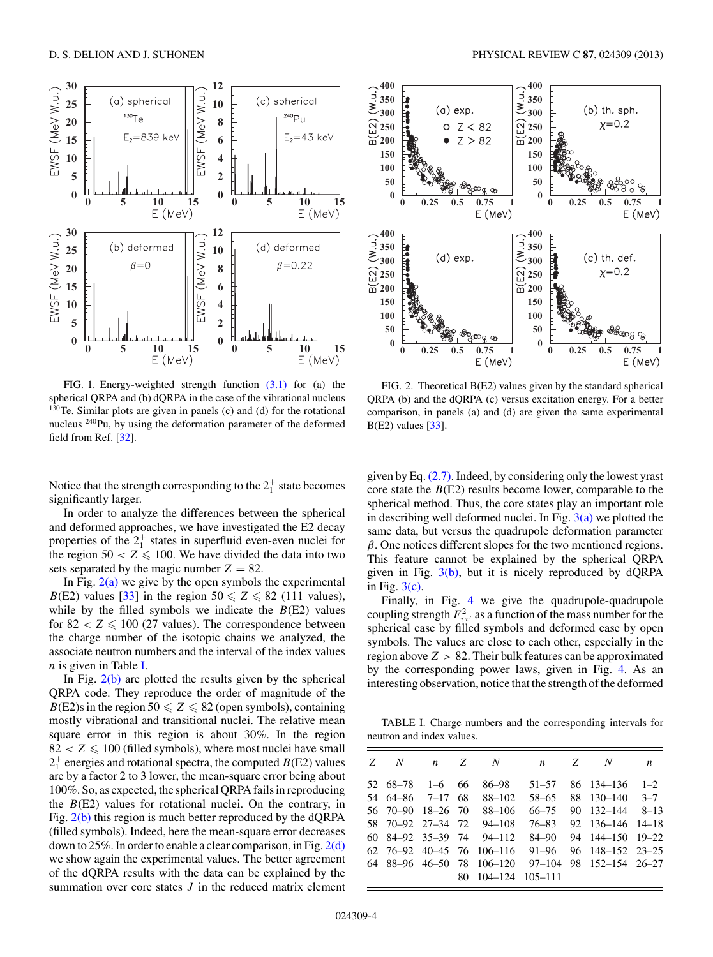<span id="page-4-0"></span>

FIG. 1. Energy-weighted strength function [\(3.1\)](#page-3-0) for (a) the spherical QRPA and (b) dQRPA in the case of the vibrational nucleus  $1^{30}$ Te. Similar plots are given in panels (c) and (d) for the rotational nucleus 240Pu, by using the deformation parameter of the deformed field from Ref. [\[32\]](#page-6-0).

Notice that the strength corresponding to the  $2^+_1$  state becomes significantly larger.

In order to analyze the differences between the spherical and deformed approaches, we have investigated the E2 decay properties of the  $2_1^+$  states in superfluid even-even nuclei for the region  $50 < Z \le 100$ . We have divided the data into two sets separated by the magic number  $Z = 82$ .

In Fig.  $2(a)$  we give by the open symbols the experimental *B*(E2) values [\[33\]](#page-6-0) in the region  $50 \le Z \le 82$  (111 values), while by the filled symbols we indicate the  $B(E2)$  values for  $82 < Z \le 100$  (27 values). The correspondence between the charge number of the isotopic chains we analyzed, the associate neutron numbers and the interval of the index values *n* is given in Table I.

In Fig.  $2(b)$  are plotted the results given by the spherical QRPA code. They reproduce the order of magnitude of the  $B(E2)$ s in the region  $50 \le Z \le 82$  (open symbols), containing mostly vibrational and transitional nuclei. The relative mean square error in this region is about 30%. In the region  $82 < Z \leq 100$  (filled symbols), where most nuclei have small  $2^+_1$  energies and rotational spectra, the computed  $B(E2)$  values are by a factor 2 to 3 lower, the mean-square error being about 100%. So, as expected, the spherical QRPA fails in reproducing the  $B(E2)$  values for rotational nuclei. On the contrary, in Fig. 2(b) this region is much better reproduced by the dQRPA (filled symbols). Indeed, here the mean-square error decreases down to 25%. In order to enable a clear comparison, in Fig. 2(d) we show again the experimental values. The better agreement of the dQRPA results with the data can be explained by the summation over core states *J* in the reduced matrix element



FIG. 2. Theoretical B(E2) values given by the standard spherical QRPA (b) and the dQRPA (c) versus excitation energy. For a better comparison, in panels (a) and (d) are given the same experimental  $B(E2)$  values  $[33]$ .

given by Eq.  $(2.7)$ . Indeed, by considering only the lowest yrast core state the *B*(E2) results become lower, comparable to the spherical method. Thus, the core states play an important role in describing well deformed nuclei. In Fig.  $3(a)$  we plotted the same data, but versus the quadrupole deformation parameter *β*. One notices different slopes for the two mentioned regions. This feature cannot be explained by the spherical QRPA given in Fig.  $3(b)$ , but it is nicely reproduced by dQRPA in Fig.  $3(c)$ .

Finally, in Fig. [4](#page-5-0) we give the quadrupole-quadrupole coupling strength  $F_{\tau\tau}^2$  as a function of the mass number for the spherical case by filled symbols and deformed case by open symbols. The values are close to each other, especially in the region above *Z >* 82. Their bulk features can be approximated by the corresponding power laws, given in Fig. [4.](#page-5-0) As an interesting observation, notice that the strength of the deformed

TABLE I. Charge numbers and the corresponding intervals for neutron and index values.

| Z N |                         | $n \quad Z \quad N$                               | $n \quad Z \quad N$ |                                   | $\boldsymbol{n}$ |
|-----|-------------------------|---------------------------------------------------|---------------------|-----------------------------------|------------------|
|     | $52 \t68-78 \t1-6 \t66$ |                                                   | $86 - 98$ $51 - 57$ | $86 \quad 134 - 136 \quad 1 - 2$  |                  |
|     | 54 64 86 7 - 17 68      | 88–102                                            | 58–65               | 88 130-140 3-7                    |                  |
|     |                         | 56 70 -90 18 -26 70 88 -106                       | 66–75               | $90 \quad 132 - 144 \quad 8 - 13$ |                  |
|     |                         | 58 70 - 92 27 - 34 72 94 - 108                    | 76–83               | 92 136-146 14-18                  |                  |
|     |                         | 60 84-92 35-39 74 94-112                          | 84–90               | 94 144 - 150 19 - 22              |                  |
|     |                         | 62 76 - 92 40 - 45 76 106 - 116                   | 91–96               | 96 148 - 152 23 - 25              |                  |
|     |                         | 64 88-96 46-50 78 106-120 97-104 98 152-154 26-27 |                     |                                   |                  |
|     |                         | 80 104–124 105–111                                |                     |                                   |                  |
|     |                         |                                                   |                     |                                   |                  |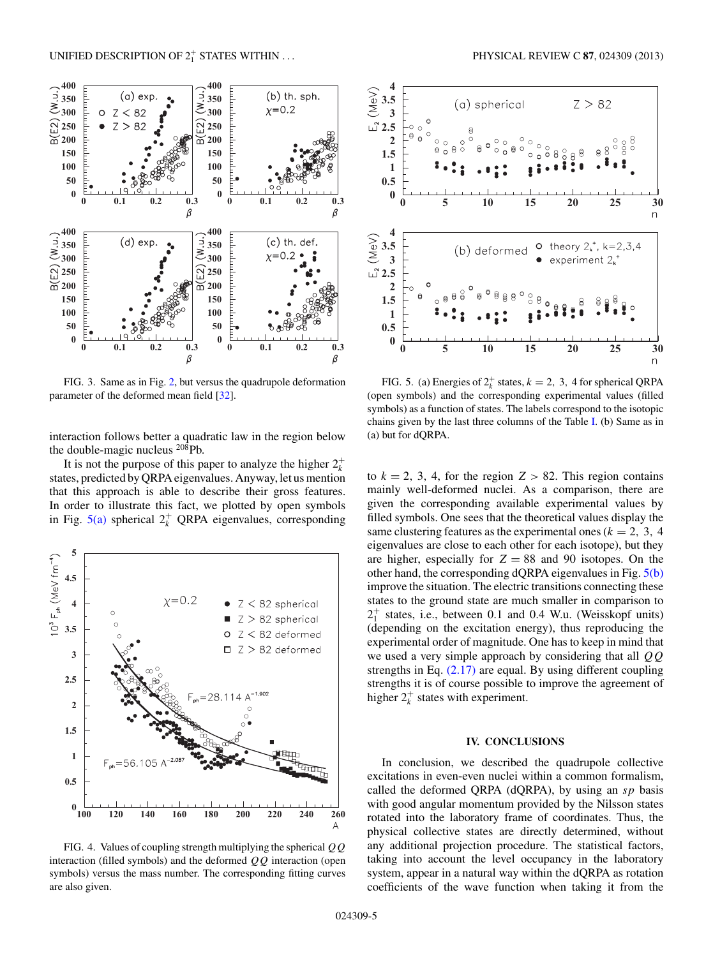<span id="page-5-0"></span>

FIG. 3. Same as in Fig. [2,](#page-4-0) but versus the quadrupole deformation parameter of the deformed mean field [\[32\]](#page-6-0).

interaction follows better a quadratic law in the region below the double-magic nucleus  $^{208}$ Pb.

It is not the purpose of this paper to analyze the higher  $2^+_k$ states, predicted by QRPA eigenvalues. Anyway, let us mention that this approach is able to describe their gross features. In order to illustrate this fact, we plotted by open symbols in Fig.  $5(a)$  spherical  $2^+_k$  QRPA eigenvalues, corresponding



FIG. 4. Values of coupling strength multiplying the spherical *QQ* interaction (filled symbols) and the deformed *QQ* interaction (open symbols) versus the mass number. The corresponding fitting curves are also given.



FIG. 5. (a) Energies of  $2^k_k$  states,  $k = 2, 3, 4$  for spherical QRPA (open symbols) and the corresponding experimental values (filled symbols) as a function of states. The labels correspond to the isotopic chains given by the last three columns of the Table [I.](#page-4-0) (b) Same as in (a) but for dQRPA.

to  $k = 2, 3, 4$ , for the region  $Z > 82$ . This region contains mainly well-deformed nuclei. As a comparison, there are given the corresponding available experimental values by filled symbols. One sees that the theoretical values display the same clustering features as the experimental ones ( $k = 2, 3, 4$ ) eigenvalues are close to each other for each isotope), but they are higher, especially for  $Z = 88$  and 90 isotopes. On the other hand, the corresponding dQRPA eigenvalues in Fig. 5(b) improve the situation. The electric transitions connecting these states to the ground state are much smaller in comparison to  $2_1^+$  states, i.e., between 0.1 and 0.4 W.u. (Weisskopf units) (depending on the excitation energy), thus reproducing the experimental order of magnitude. One has to keep in mind that we used a very simple approach by considering that all *QQ* strengths in Eq.  $(2.17)$  are equal. By using different coupling strengths it is of course possible to improve the agreement of higher  $2^+_k$  states with experiment.

#### **IV. CONCLUSIONS**

In conclusion, we described the quadrupole collective excitations in even-even nuclei within a common formalism, called the deformed QRPA (dQRPA), by using an *sp* basis with good angular momentum provided by the Nilsson states rotated into the laboratory frame of coordinates. Thus, the physical collective states are directly determined, without any additional projection procedure. The statistical factors, taking into account the level occupancy in the laboratory system, appear in a natural way within the dQRPA as rotation coefficients of the wave function when taking it from the